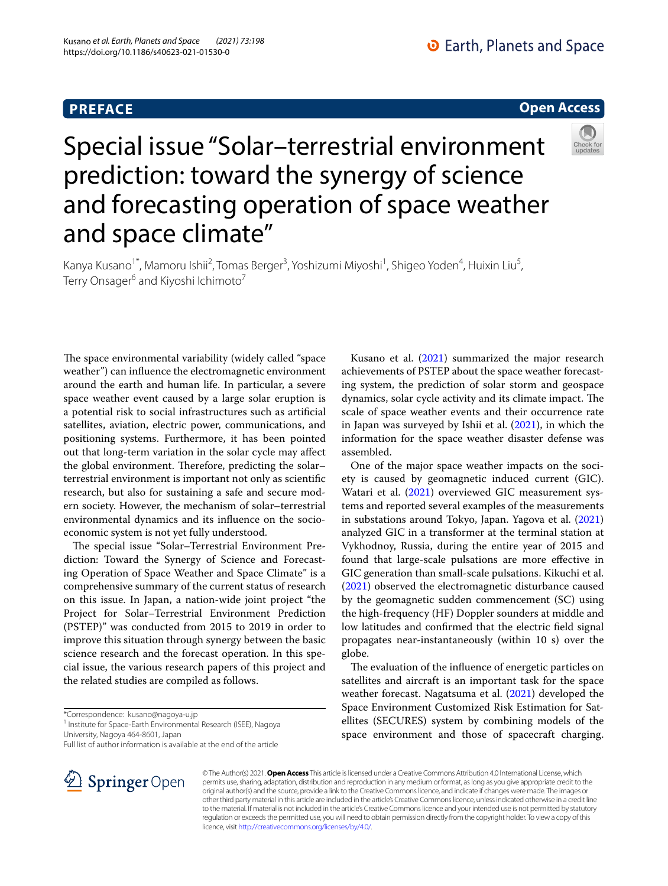# **PREFACE**

## **Open Access**



# Special issue "Solar–terrestrial environment prediction: toward the synergy of science and forecasting operation of space weather and space climate"

Kanya Kusano<sup>1\*</sup>, Mamoru Ishii<sup>2</sup>, Tomas Berger<sup>3</sup>, Yoshizumi Miyoshi<sup>1</sup>, Shigeo Yoden<sup>4</sup>, Huixin Liu<sup>5</sup>, Terry Onsager<sup>6</sup> and Kiyoshi Ichimoto<sup>7</sup>

The space environmental variability (widely called "space" weather") can infuence the electromagnetic environment around the earth and human life. In particular, a severe space weather event caused by a large solar eruption is a potential risk to social infrastructures such as artifcial satellites, aviation, electric power, communications, and positioning systems. Furthermore, it has been pointed out that long-term variation in the solar cycle may afect the global environment. Therefore, predicting the solarterrestrial environment is important not only as scientifc research, but also for sustaining a safe and secure modern society. However, the mechanism of solar–terrestrial environmental dynamics and its infuence on the socioeconomic system is not yet fully understood.

The special issue "Solar–Terrestrial Environment Prediction: Toward the Synergy of Science and Forecasting Operation of Space Weather and Space Climate" is a comprehensive summary of the current status of research on this issue. In Japan, a nation-wide joint project "the Project for Solar–Terrestrial Environment Prediction (PSTEP)" was conducted from 2015 to 2019 in order to improve this situation through synergy between the basic science research and the forecast operation. In this special issue, the various research papers of this project and the related studies are compiled as follows.

\*Correspondence: kusano@nagoya-u.jp

<sup>1</sup> Institute for Space-Earth Environmental Research (ISEE), Nagoya University, Nagoya 464-8601, Japan

Full list of author information is available at the end of the article



Kusano et al. [\(2021\)](#page-2-0) summarized the major research achievements of PSTEP about the space weather forecasting system, the prediction of solar storm and geospace dynamics, solar cycle activity and its climate impact. The scale of space weather events and their occurrence rate in Japan was surveyed by Ishii et al. ([2021](#page-2-1)), in which the information for the space weather disaster defense was assembled.

One of the major space weather impacts on the society is caused by geomagnetic induced current (GIC). Watari et al. [\(2021\)](#page-2-2) overviewed GIC measurement systems and reported several examples of the measurements in substations around Tokyo, Japan. Yagova et al. ([2021](#page-2-3)) analyzed GIC in a transformer at the terminal station at Vykhodnoy, Russia, during the entire year of 2015 and found that large-scale pulsations are more efective in GIC generation than small-scale pulsations. Kikuchi et al. ([2021\)](#page-2-4) observed the electromagnetic disturbance caused by the geomagnetic sudden commencement (SC) using the high-frequency (HF) Doppler sounders at middle and low latitudes and confrmed that the electric feld signal propagates near-instantaneously (within 10 s) over the globe.

The evaluation of the influence of energetic particles on satellites and aircraft is an important task for the space weather forecast. Nagatsuma et al. ([2021](#page-2-5)) developed the Space Environment Customized Risk Estimation for Satellites (SECURES) system by combining models of the space environment and those of spacecraft charging.

© The Author(s) 2021. **Open Access** This article is licensed under a Creative Commons Attribution 4.0 International License, which permits use, sharing, adaptation, distribution and reproduction in any medium or format, as long as you give appropriate credit to the original author(s) and the source, provide a link to the Creative Commons licence, and indicate if changes were made. The images or other third party material in this article are included in the article's Creative Commons licence, unless indicated otherwise in a credit line to the material. If material is not included in the article's Creative Commons licence and your intended use is not permitted by statutory regulation or exceeds the permitted use, you will need to obtain permission directly from the copyright holder. To view a copy of this licence, visit [http://creativecommons.org/licenses/by/4.0/.](http://creativecommons.org/licenses/by/4.0/)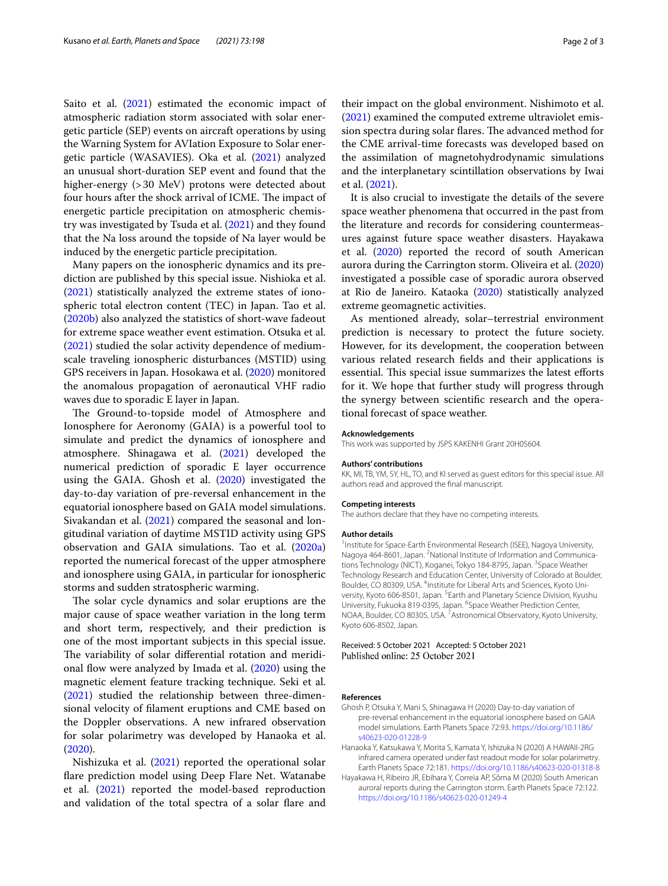Saito et al. ([2021](#page-2-6)) estimated the economic impact of atmospheric radiation storm associated with solar energetic particle (SEP) events on aircraft operations by using the Warning System for AVIation Exposure to Solar energetic particle (WASAVIES). Oka et al. ([2021](#page-2-7)) analyzed an unusual short-duration SEP event and found that the higher-energy (>30 MeV) protons were detected about four hours after the shock arrival of ICME. The impact of energetic particle precipitation on atmospheric chemistry was investigated by Tsuda et al. ([2021](#page-2-8)) and they found that the Na loss around the topside of Na layer would be induced by the energetic particle precipitation.

Many papers on the ionospheric dynamics and its prediction are published by this special issue. Nishioka et al. ([2021\)](#page-2-9) statistically analyzed the extreme states of ionospheric total electron content (TEC) in Japan. Tao et al. ([2020b\)](#page-2-10) also analyzed the statistics of short-wave fadeout for extreme space weather event estimation. Otsuka et al. ([2021\)](#page-2-11) studied the solar activity dependence of mediumscale traveling ionospheric disturbances (MSTID) using GPS receivers in Japan. Hosokawa et al. [\(2020\)](#page-2-12) monitored the anomalous propagation of aeronautical VHF radio waves due to sporadic E layer in Japan.

The Ground-to-topside model of Atmosphere and Ionosphere for Aeronomy (GAIA) is a powerful tool to simulate and predict the dynamics of ionosphere and atmosphere. Shinagawa et al. ([2021](#page-2-13)) developed the numerical prediction of sporadic E layer occurrence using the GAIA. Ghosh et al. ([2020\)](#page-1-0) investigated the day-to-day variation of pre-reversal enhancement in the equatorial ionosphere based on GAIA model simulations. Sivakandan et al. ([2021](#page-2-14)) compared the seasonal and longitudinal variation of daytime MSTID activity using GPS observation and GAIA simulations. Tao et al. [\(2020a](#page-2-15)) reported the numerical forecast of the upper atmosphere and ionosphere using GAIA, in particular for ionospheric storms and sudden stratospheric warming.

The solar cycle dynamics and solar eruptions are the major cause of space weather variation in the long term and short term, respectively, and their prediction is one of the most important subjects in this special issue. The variability of solar differential rotation and meridional fow were analyzed by Imada et al. ([2020](#page-2-16)) using the magnetic element feature tracking technique. Seki et al. ([2021\)](#page-2-17) studied the relationship between three-dimensional velocity of flament eruptions and CME based on the Doppler observations. A new infrared observation for solar polarimetry was developed by Hanaoka et al. ([2020\)](#page-1-1).

Nishizuka et al. [\(2021](#page-2-18)) reported the operational solar fare prediction model using Deep Flare Net. Watanabe et al. ([2021](#page-2-19)) reported the model-based reproduction and validation of the total spectra of a solar flare and

their impact on the global environment. Nishimoto et al. ([2021\)](#page-2-20) examined the computed extreme ultraviolet emission spectra during solar flares. The advanced method for the CME arrival-time forecasts was developed based on the assimilation of magnetohydrodynamic simulations and the interplanetary scintillation observations by Iwai et al. ([2021](#page-2-21)).

It is also crucial to investigate the details of the severe space weather phenomena that occurred in the past from the literature and records for considering countermeasures against future space weather disasters. Hayakawa et al. ([2020\)](#page-1-2) reported the record of south American aurora during the Carrington storm. Oliveira et al. ([2020](#page-2-22)) investigated a possible case of sporadic aurora observed at Rio de Janeiro. Kataoka [\(2020](#page-2-23)) statistically analyzed extreme geomagnetic activities.

As mentioned already, solar–terrestrial environment prediction is necessary to protect the future society. However, for its development, the cooperation between various related research felds and their applications is essential. This special issue summarizes the latest efforts for it. We hope that further study will progress through the synergy between scientifc research and the operational forecast of space weather.

#### **Acknowledgements**

This work was supported by JSPS KAKENHI Grant 20H05604.

#### **Authors' contributions**

KK, MI, TB, YM, SY, HL, TO, and KI served as guest editors for this special issue. All authors read and approved the fnal manuscript.

#### **Competing interests**

The authors declare that they have no competing interests.

#### **Author details**

<sup>1</sup> Institute for Space-Earth Environmental Research (ISEE), Nagoya University, Nagoya 464-8601, Japan. <sup>2</sup> National Institute of Information and Communications Technology (NICT), Koganei, Tokyo 184-8795, Japan. <sup>3</sup>Space Weather Technology Research and Education Center, University of Colorado at Boulder, Boulder, CO 80309, USA. <sup>4</sup>Institute for Liberal Arts and Sciences, Kyoto University, Kyoto 606-8501, Japan. <sup>5</sup> Earth and Planetary Science Division, Kyushu University, Fukuoka 819-0395, Japan. <sup>6</sup>Space Weather Prediction Center, NOAA, Boulder, CO 80305, USA.<sup>7</sup> Astronomical Observatory, Kyoto University, Kyoto 606-8502, Japan.

### Received: 5 October 2021 Accepted: 5 October 2021 Published online: 25 October 2021

#### **References**

- <span id="page-1-0"></span>Ghosh P, Otsuka Y, Mani S, Shinagawa H (2020) Day-to-day variation of pre-reversal enhancement in the equatorial ionosphere based on GAIA model simulations. Earth Planets Space 72:93. [https://doi.org/10.1186/](https://doi.org/10.1186/s40623-020-01228-9) [s40623-020-01228-9](https://doi.org/10.1186/s40623-020-01228-9)
- <span id="page-1-1"></span>Hanaoka Y, Katsukawa Y, Morita S, Kamata Y, Ishizuka N (2020) A HAWAII-2RG infrared camera operated under fast readout mode for solar polarimetry. Earth Planets Space 72:181.<https://doi.org/10.1186/s40623-020-01318-8>
- <span id="page-1-2"></span>Hayakawa H, Ribeiro JR, Ebihara Y, Correia AP, Sôma M (2020) South American auroral reports during the Carrington storm. Earth Planets Space 72:122. <https://doi.org/10.1186/s40623-020-01249-4>